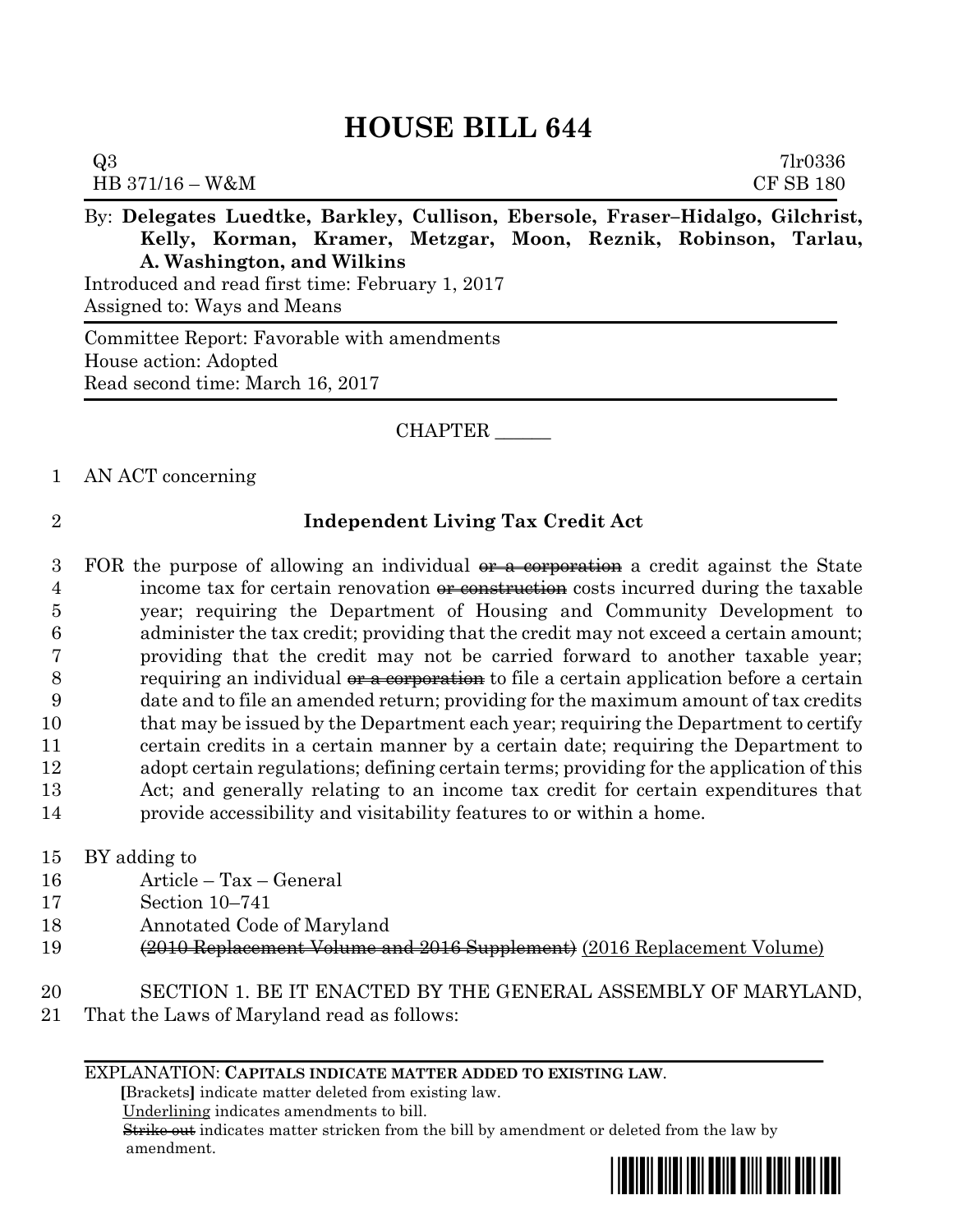# **HOUSE BILL 644**

| Q3                                                                             | 7 <sub>1</sub> r0336 |
|--------------------------------------------------------------------------------|----------------------|
| $HB\,371/16-W\&M$                                                              | <b>CF SB 180</b>     |
| By: Delegates Luedtke, Barkley, Cullison, Ebersole, Fraser–Hidalgo, Gilchrist, |                      |
| Kelly, Korman, Kramer, Metzgar, Moon, Reznik, Robinson, Tarlau,                |                      |

**A. Washington, and Wilkins**

Introduced and read first time: February 1, 2017 Assigned to: Ways and Means

Committee Report: Favorable with amendments House action: Adopted Read second time: March 16, 2017

## CHAPTER \_\_\_\_\_\_

### 1 AN ACT concerning

# 2 **Independent Living Tax Credit Act**

3 FOR the purpose of allowing an individual  $\theta$  as corporation a credit against the State 4 income tax for certain renovation <del>or construction</del> costs incurred during the taxable year; requiring the Department of Housing and Community Development to administer the tax credit; providing that the credit may not exceed a certain amount; providing that the credit may not be carried forward to another taxable year; 8 requiring an individual or a corporation to file a certain application before a certain date and to file an amended return; providing for the maximum amount of tax credits 10 that may be issued by the Department each year; requiring the Department to certify certain credits in a certain manner by a certain date; requiring the Department to adopt certain regulations; defining certain terms; providing for the application of this Act; and generally relating to an income tax credit for certain expenditures that provide accessibility and visitability features to or within a home.

- 15 BY adding to
- 16 Article Tax General
- 17 Section 10–741
- 18 Annotated Code of Maryland
- 19 (2010 Replacement Volume and 2016 Supplement) (2016 Replacement Volume)
- 20 SECTION 1. BE IT ENACTED BY THE GENERAL ASSEMBLY OF MARYLAND,
- 21 That the Laws of Maryland read as follows:

#### EXPLANATION: **CAPITALS INDICATE MATTER ADDED TO EXISTING LAW**.

 **[**Brackets**]** indicate matter deleted from existing law.

Underlining indicates amendments to bill.

 Strike out indicates matter stricken from the bill by amendment or deleted from the law by amendment.

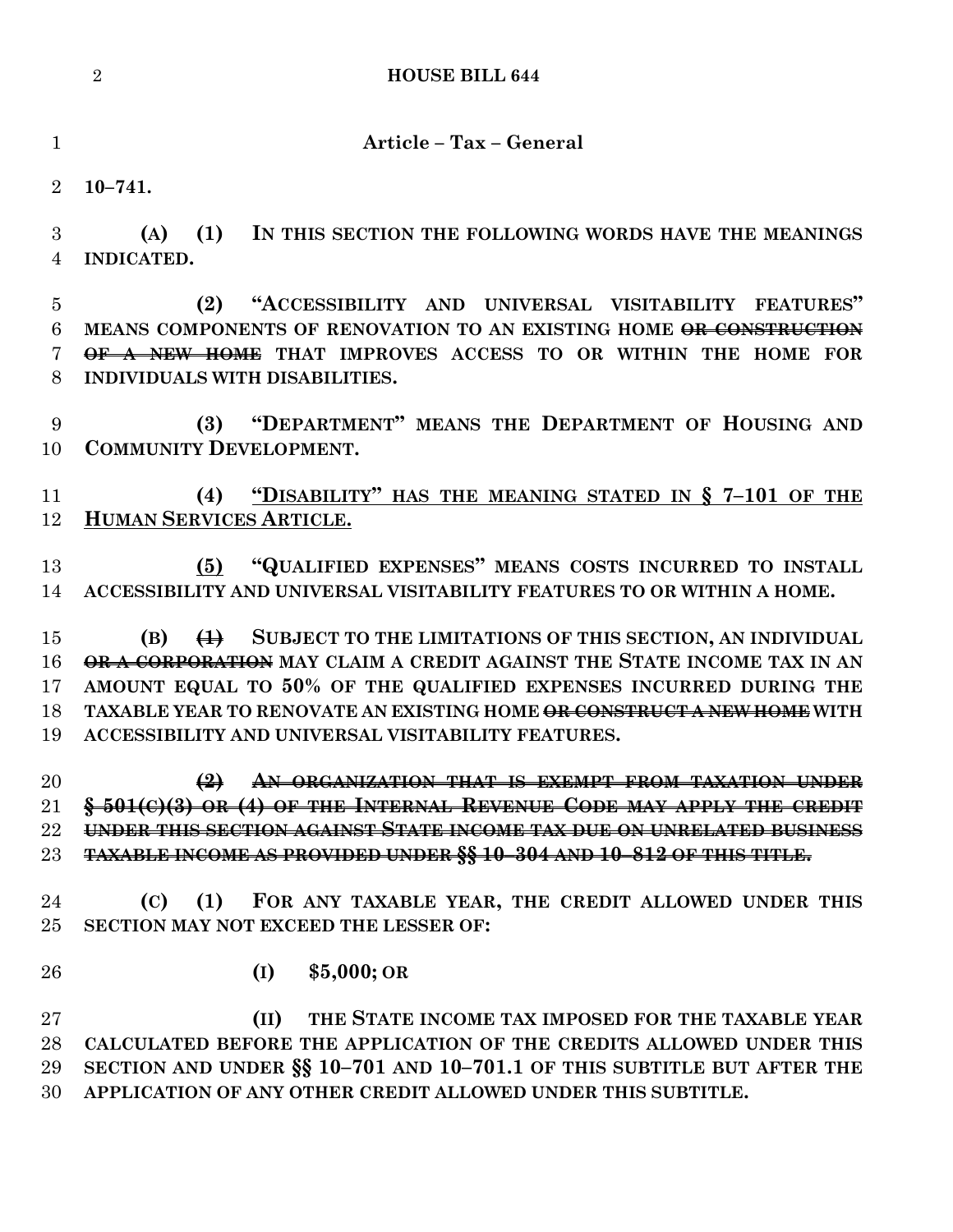**Article – Tax – General**

**10–741.**

 **(A) (1) IN THIS SECTION THE FOLLOWING WORDS HAVE THE MEANINGS INDICATED.**

 **(2) "ACCESSIBILITY AND UNIVERSAL VISITABILITY FEATURES" MEANS COMPONENTS OF RENOVATION TO AN EXISTING HOME OR CONSTRUCTION OF A NEW HOME THAT IMPROVES ACCESS TO OR WITHIN THE HOME FOR INDIVIDUALS WITH DISABILITIES.**

 **(3) "DEPARTMENT" MEANS THE DEPARTMENT OF HOUSING AND COMMUNITY DEVELOPMENT.** 

 **(4) "DISABILITY" HAS THE MEANING STATED IN § 7–101 OF THE HUMAN SERVICES ARTICLE.**

 **(5) "QUALIFIED EXPENSES" MEANS COSTS INCURRED TO INSTALL ACCESSIBILITY AND UNIVERSAL VISITABILITY FEATURES TO OR WITHIN A HOME.**

 **(B) (1) SUBJECT TO THE LIMITATIONS OF THIS SECTION, AN INDIVIDUAL OR A CORPORATION MAY CLAIM A CREDIT AGAINST THE STATE INCOME TAX IN AN AMOUNT EQUAL TO 50% OF THE QUALIFIED EXPENSES INCURRED DURING THE TAXABLE YEAR TO RENOVATE AN EXISTING HOME OR CONSTRUCT A NEW HOME WITH ACCESSIBILITY AND UNIVERSAL VISITABILITY FEATURES.**

 **(2) AN ORGANIZATION THAT IS EXEMPT FROM TAXATION UNDER § 501(C)(3) OR (4) OF THE INTERNAL REVENUE CODE MAY APPLY THE CREDIT UNDER THIS SECTION AGAINST STATE INCOME TAX DUE ON UNRELATED BUSINESS TAXABLE INCOME AS PROVIDED UNDER §§ 10–304 AND 10–812 OF THIS TITLE.**

 **(C) (1) FOR ANY TAXABLE YEAR, THE CREDIT ALLOWED UNDER THIS SECTION MAY NOT EXCEED THE LESSER OF:**

- 
- **(I) \$5,000; OR**

 **(II) THE STATE INCOME TAX IMPOSED FOR THE TAXABLE YEAR CALCULATED BEFORE THE APPLICATION OF THE CREDITS ALLOWED UNDER THIS SECTION AND UNDER §§ 10–701 AND 10–701.1 OF THIS SUBTITLE BUT AFTER THE APPLICATION OF ANY OTHER CREDIT ALLOWED UNDER THIS SUBTITLE.**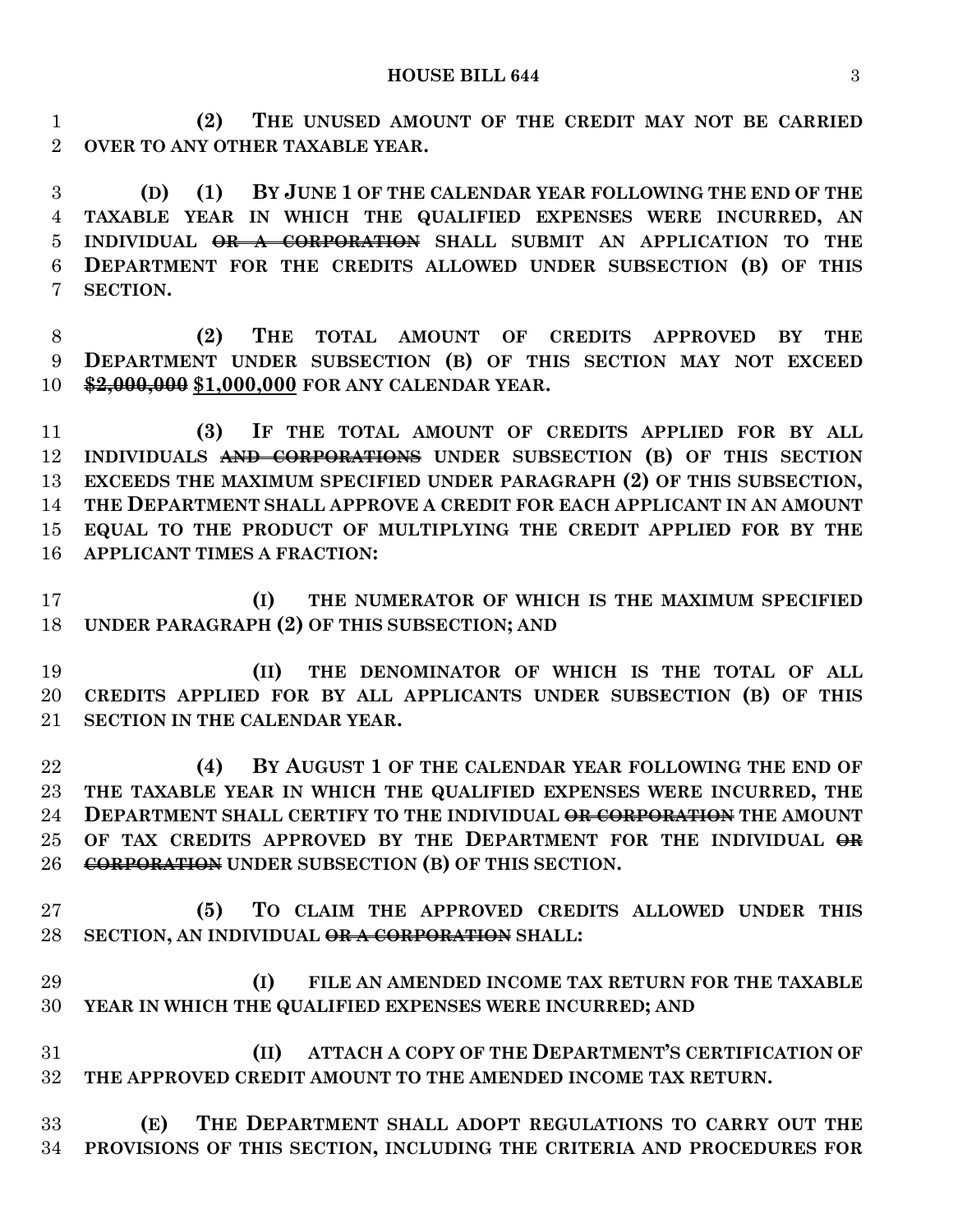**(2) THE UNUSED AMOUNT OF THE CREDIT MAY NOT BE CARRIED OVER TO ANY OTHER TAXABLE YEAR.**

 **(D) (1) BY JUNE 1 OF THE CALENDAR YEAR FOLLOWING THE END OF THE TAXABLE YEAR IN WHICH THE QUALIFIED EXPENSES WERE INCURRED, AN INDIVIDUAL OR A CORPORATION SHALL SUBMIT AN APPLICATION TO THE DEPARTMENT FOR THE CREDITS ALLOWED UNDER SUBSECTION (B) OF THIS SECTION.**

 **(2) THE TOTAL AMOUNT OF CREDITS APPROVED BY THE DEPARTMENT UNDER SUBSECTION (B) OF THIS SECTION MAY NOT EXCEED \$2,000,000 \$1,000,000 FOR ANY CALENDAR YEAR.**

 **(3) IF THE TOTAL AMOUNT OF CREDITS APPLIED FOR BY ALL INDIVIDUALS AND CORPORATIONS UNDER SUBSECTION (B) OF THIS SECTION EXCEEDS THE MAXIMUM SPECIFIED UNDER PARAGRAPH (2) OF THIS SUBSECTION, THE DEPARTMENT SHALL APPROVE A CREDIT FOR EACH APPLICANT IN AN AMOUNT EQUAL TO THE PRODUCT OF MULTIPLYING THE CREDIT APPLIED FOR BY THE APPLICANT TIMES A FRACTION:**

 **(I) THE NUMERATOR OF WHICH IS THE MAXIMUM SPECIFIED UNDER PARAGRAPH (2) OF THIS SUBSECTION; AND**

 **(II) THE DENOMINATOR OF WHICH IS THE TOTAL OF ALL CREDITS APPLIED FOR BY ALL APPLICANTS UNDER SUBSECTION (B) OF THIS SECTION IN THE CALENDAR YEAR.**

 **(4) BY AUGUST 1 OF THE CALENDAR YEAR FOLLOWING THE END OF THE TAXABLE YEAR IN WHICH THE QUALIFIED EXPENSES WERE INCURRED, THE DEPARTMENT SHALL CERTIFY TO THE INDIVIDUAL OR CORPORATION THE AMOUNT**  25 OF TAX CREDITS APPROVED BY THE DEPARTMENT FOR THE INDIVIDUAL  $\Theta$ **R CORPORATION UNDER SUBSECTION (B) OF THIS SECTION.**

 **(5) TO CLAIM THE APPROVED CREDITS ALLOWED UNDER THIS SECTION, AN INDIVIDUAL OR A CORPORATION SHALL:**

 **(I) FILE AN AMENDED INCOME TAX RETURN FOR THE TAXABLE YEAR IN WHICH THE QUALIFIED EXPENSES WERE INCURRED; AND**

 **(II) ATTACH A COPY OF THE DEPARTMENT'S CERTIFICATION OF THE APPROVED CREDIT AMOUNT TO THE AMENDED INCOME TAX RETURN.**

 **(E) THE DEPARTMENT SHALL ADOPT REGULATIONS TO CARRY OUT THE PROVISIONS OF THIS SECTION, INCLUDING THE CRITERIA AND PROCEDURES FOR**